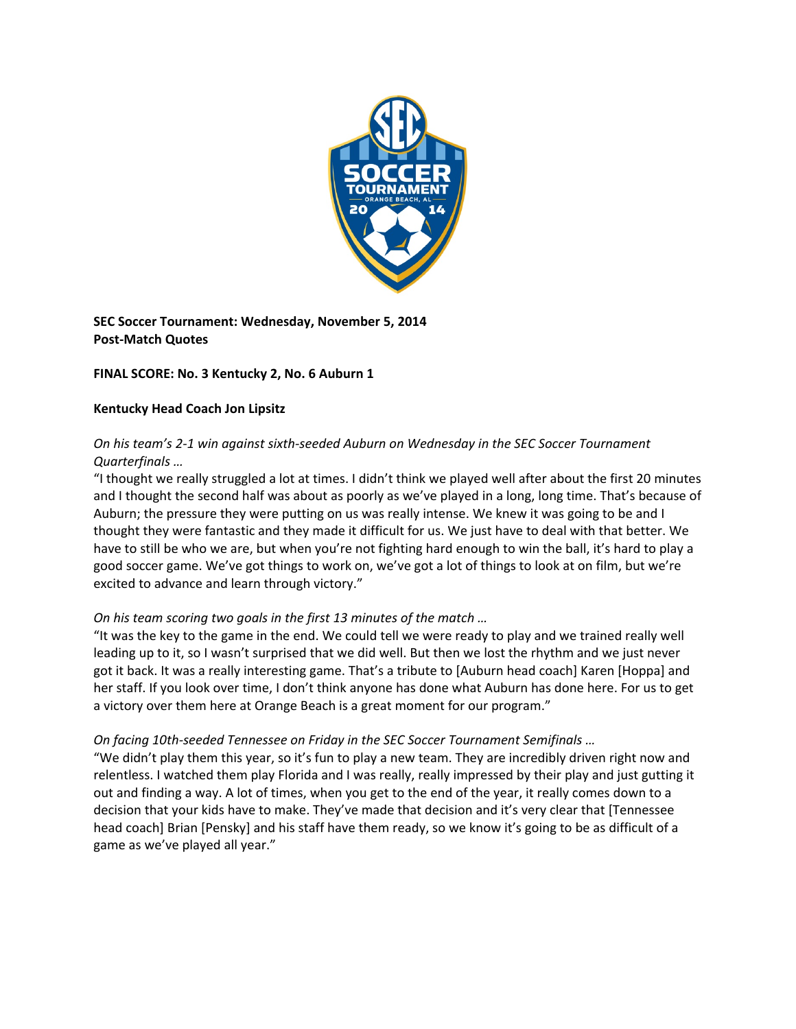

**SEC Soccer Tournament: Wednesday, November 5, 2014 Post‐Match Quotes**

## **FINAL SCORE: No. 3 Kentucky 2, No. 6 Auburn 1**

## **Kentucky Head Coach Jon Lipsitz**

# *On his team's 2‐1 win against sixth‐seeded Auburn on Wednesday in the SEC Soccer Tournament Quarterfinals …*

"I thought we really struggled a lot at times. I didn't think we played well after about the first 20 minutes and I thought the second half was about as poorly as we've played in a long, long time. That's because of Auburn; the pressure they were putting on us was really intense. We knew it was going to be and I thought they were fantastic and they made it difficult for us. We just have to deal with that better. We have to still be who we are, but when you're not fighting hard enough to win the ball, it's hard to play a good soccer game. We've got things to work on, we've got a lot of things to look at on film, but we're excited to advance and learn through victory."

## *On his team scoring two goals in the first 13 minutes of the match …*

"It was the key to the game in the end. We could tell we were ready to play and we trained really well leading up to it, so I wasn't surprised that we did well. But then we lost the rhythm and we just never got it back. It was a really interesting game. That's a tribute to [Auburn head coach] Karen [Hoppa] and her staff. If you look over time, I don't think anyone has done what Auburn has done here. For us to get a victory over them here at Orange Beach is a great moment for our program."

## *On facing 10th‐seeded Tennessee on Friday in the SEC Soccer Tournament Semifinals …*

"We didn't play them this year, so it's fun to play a new team. They are incredibly driven right now and relentless. I watched them play Florida and I was really, really impressed by their play and just gutting it out and finding a way. A lot of times, when you get to the end of the year, it really comes down to a decision that your kids have to make. They've made that decision and it's very clear that [Tennessee head coach] Brian [Pensky] and his staff have them ready, so we know it's going to be as difficult of a game as we've played all year."